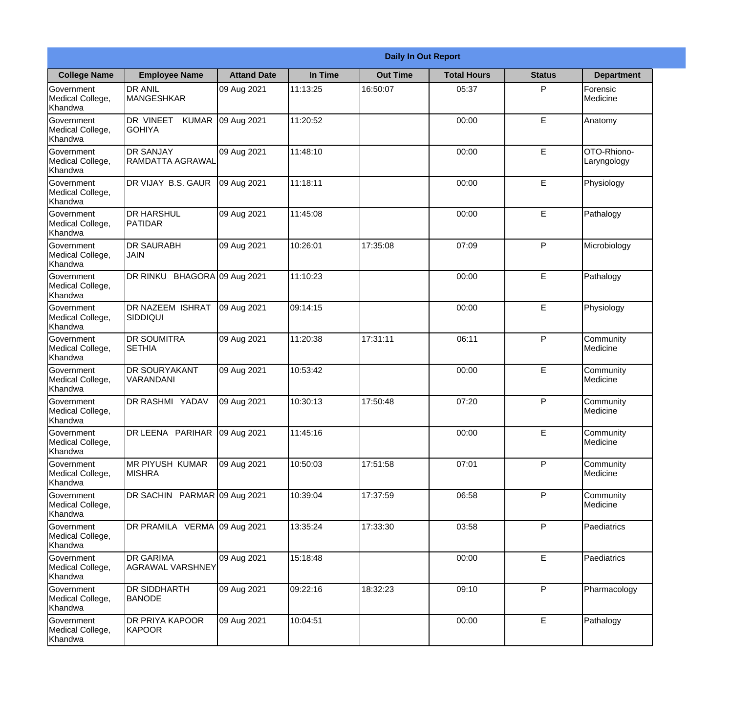| <b>Daily In Out Report</b>                       |                                            |                    |          |                 |                    |               |                              |
|--------------------------------------------------|--------------------------------------------|--------------------|----------|-----------------|--------------------|---------------|------------------------------|
| <b>College Name</b>                              | <b>Employee Name</b>                       | <b>Attand Date</b> | In Time  | <b>Out Time</b> | <b>Total Hours</b> | <b>Status</b> | <b>Department</b>            |
| Government<br>Medical College,<br>Khandwa        | <b>DR ANIL</b><br><b>MANGESHKAR</b>        | 09 Aug 2021        | 11:13:25 | 16:50:07        | 05:37              | P             | Forensic<br>Medicine         |
| Government<br>Medical College,<br>Khandwa        | DR VINEET<br><b>KUMAR</b><br><b>GOHIYA</b> | 09 Aug 2021        | 11:20:52 |                 | 00:00              | E             | Anatomy                      |
| <b>Government</b><br>Medical College,<br>Khandwa | <b>IDR SANJAY</b><br>RAMDATTA AGRAWAL      | 09 Aug 2021        | 11:48:10 |                 | 00:00              | E             | OTO-Rhiono-<br>Laryngology   |
| Government<br>Medical College,<br>Khandwa        | DR VIJAY B.S. GAUR                         | 09 Aug 2021        | 11:18:11 |                 | 00:00              | E             | Physiology                   |
| Government<br>Medical College,<br>Khandwa        | <b>DR HARSHUL</b><br><b>IPATIDAR</b>       | 09 Aug 2021        | 11:45:08 |                 | 00:00              | E             | Pathalogy                    |
| Government<br>Medical College,<br>Khandwa        | <b>DR SAURABH</b><br><b>JAIN</b>           | 09 Aug 2021        | 10:26:01 | 17:35:08        | 07:09              | P             | Microbiology                 |
| Government<br>Medical College,<br>Khandwa        | DR RINKU BHAGORA 09 Aug 2021               |                    | 11:10:23 |                 | 00:00              | E             | Pathalogy                    |
| Government<br>Medical College,<br>Khandwa        | DR NAZEEM ISHRAT<br>SIDDIQUI               | 09 Aug 2021        | 09:14:15 |                 | 00:00              | E             | Physiology                   |
| Government<br>Medical College,<br>Khandwa        | <b>DR SOUMITRA</b><br><b>SETHIA</b>        | 09 Aug 2021        | 11:20:38 | 17:31:11        | 06:11              | P             | Community<br>Medicine        |
| Government<br>Medical College,<br>Khandwa        | <b>DR SOURYAKANT</b><br>VARANDANI          | 09 Aug 2021        | 10:53:42 |                 | 00:00              | E             | Community<br><b>Medicine</b> |
| Government<br>Medical College,<br>Khandwa        | DR RASHMI YADAV                            | 09 Aug 2021        | 10:30:13 | 17:50:48        | 07:20              | P             | Community<br>Medicine        |
| Government<br>Medical College,<br>Khandwa        | DR LEENA PARIHAR 09 Aug 2021               |                    | 11:45:16 |                 | 00:00              | E             | Community<br>Medicine        |
| Government<br>Medical College,<br>Khandwa        | <b>MR PIYUSH KUMAR</b><br><b>MISHRA</b>    | 09 Aug 2021        | 10:50:03 | 17:51:58        | 07:01              | P             | Community<br>Medicine        |
| Government<br>Medical College,<br>Khandwa        | DR SACHIN PARMAR 09 Aug 2021               |                    | 10:39:04 | 17:37:59        | 06:58              | P             | Community<br>Medicine        |
| Government<br>Medical College,<br>Khandwa        | DR PRAMILA VERMA 09 Aug 2021               |                    | 13:35:24 | 17:33:30        | 03:58              | P             | Paediatrics                  |
| Government<br>Medical College,<br>Khandwa        | <b>DR GARIMA</b><br>AGRAWAL VARSHNEY       | 09 Aug 2021        | 15:18:48 |                 | 00:00              | $\mathsf E$   | Paediatrics                  |
| Government<br>Medical College,<br>Khandwa        | <b>DR SIDDHARTH</b><br><b>BANODE</b>       | 09 Aug 2021        | 09:22:16 | 18:32:23        | 09:10              | P             | Pharmacology                 |
| Government<br>Medical College,<br>Khandwa        | <b>DR PRIYA KAPOOR</b><br>KAPOOR           | 09 Aug 2021        | 10:04:51 |                 | 00:00              | E             | Pathalogy                    |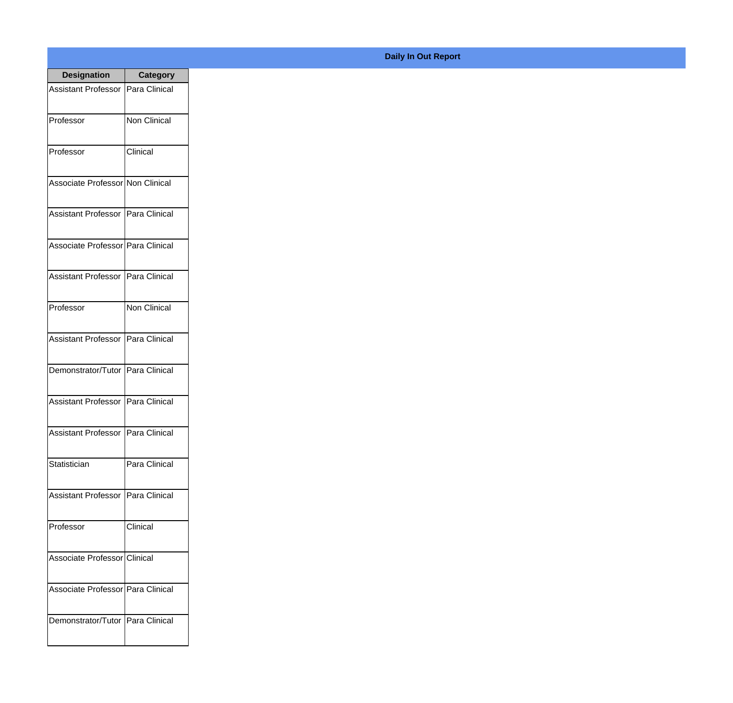| <b>Designation</b>                  | <b>Category</b>     |
|-------------------------------------|---------------------|
| Assistant Professor   Para Clinical |                     |
| Professor                           | <b>Non Clinical</b> |
| Professor                           | Clinical            |
| Associate Professor Non Clinical    |                     |
| Assistant Professor   Para Clinical |                     |
| Associate Professor   Para Clinical |                     |
| Assistant Professor   Para Clinical |                     |
| Professor                           | Non Clinical        |
| Assistant Professor   Para Clinical |                     |
| Demonstrator/Tutor   Para Clinical  |                     |
| <b>Assistant Professor</b>          | Para Clinical       |
| <b>Assistant Professor</b>          | Para Clinical       |
| Statistician                        | Para Clinical       |
| <b>Assistant Professor</b>          | Para Clinical       |
| Professor                           | Clinical            |
| Associate Professor Clinical        |                     |
| Associate Professor   Para Clinical |                     |
| Demonstrator/Tutor   Para Clinical  |                     |

## **Daily In Out Report**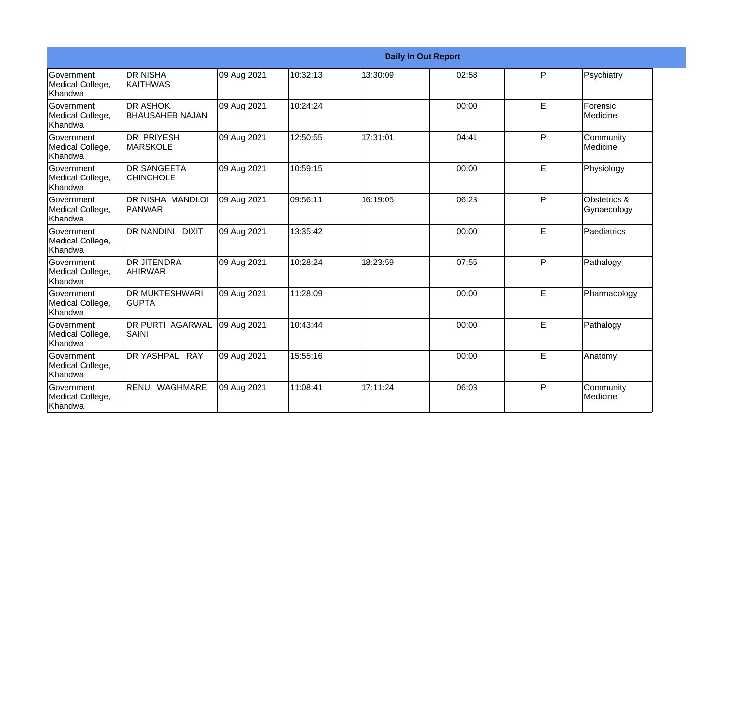|                                           |                                             |             |          |          | <b>Daily In Out Report</b> |    |                             |
|-------------------------------------------|---------------------------------------------|-------------|----------|----------|----------------------------|----|-----------------------------|
| Government<br>Medical College,<br>Khandwa | <b>DR NISHA</b><br><b>IKAITHWAS</b>         | 09 Aug 2021 | 10:32:13 | 13:30:09 | 02:58                      | P  | Psychiatry                  |
| Government<br>Medical College,<br>Khandwa | <b>DR ASHOK</b><br><b>I</b> BHAUSAHEB NAJAN | 09 Aug 2021 | 10:24:24 |          | 00:00                      | E  | Forensic<br>Medicine        |
| Government<br>Medical College,<br>Khandwa | <b>DR PRIYESH</b><br><b>MARSKOLE</b>        | 09 Aug 2021 | 12:50:55 | 17:31:01 | 04:41                      | P  | Community<br>Medicine       |
| Government<br>Medical College,<br>Khandwa | <b>DR SANGEETA</b><br><b>CHINCHOLE</b>      | 09 Aug 2021 | 10:59:15 |          | 00:00                      | E  | Physiology                  |
| Government<br>Medical College,<br>Khandwa | DR NISHA MANDLOI<br>PANWAR                  | 09 Aug 2021 | 09:56:11 | 16:19:05 | 06:23                      | P  | Obstetrics &<br>Gynaecology |
| Government<br>Medical College,<br>Khandwa | DR NANDINI DIXIT                            | 09 Aug 2021 | 13:35:42 |          | 00:00                      | E. | Paediatrics                 |
| Government<br>Medical College,<br>Khandwa | <b>DR JITENDRA</b><br><b>AHIRWAR</b>        | 09 Aug 2021 | 10:28:24 | 18:23:59 | 07:55                      | P  | Pathalogy                   |
| Government<br>Medical College,<br>Khandwa | <b>DR MUKTESHWARI</b><br><b>GUPTA</b>       | 09 Aug 2021 | 11:28:09 |          | 00:00                      | E  | Pharmacology                |
| Government<br>Medical College,<br>Khandwa | <b>DR PURTI AGARWAL</b><br>SAINI            | 09 Aug 2021 | 10:43:44 |          | 00:00                      | E  | Pathalogy                   |
| Government<br>Medical College,<br>Khandwa | DR YASHPAL RAY                              | 09 Aug 2021 | 15:55:16 |          | 00:00                      | E  | Anatomy                     |
| Government<br>Medical College,<br>Khandwa | RENU WAGHMARE                               | 09 Aug 2021 | 11:08:41 | 17:11:24 | 06:03                      | P  | Community<br>Medicine       |